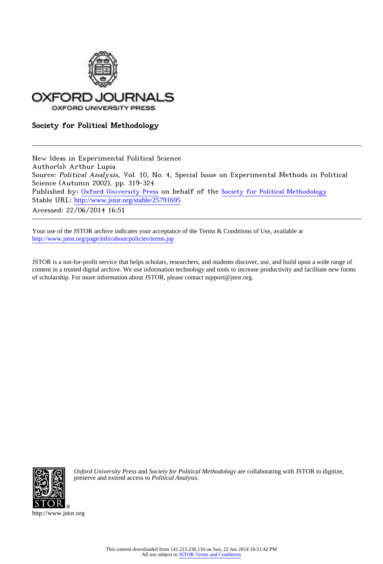

# Society for Political Methodology

New Ideas in Experimental Political Science Author(s): Arthur Lupia Source: Political Analysis, Vol. 10, No. 4, Special Issue on Experimental Methods in Political Science (Autumn 2002), pp. 319-324 Published by: [Oxford University Press](http://www.jstor.org/action/showPublisher?publisherCode=oup) on behalf of the [Society for Political Methodology](http://www.jstor.org/action/showPublisher?publisherCode=polmeth) Stable URL: http://www.jstor.org/stable/25791695 Accessed: 22/06/2014 16:51

Your use of the JSTOR archive indicates your acceptance of the Terms & Conditions of Use, available at <http://www.jstor.org/page/info/about/policies/terms.jsp>

JSTOR is a not-for-profit service that helps scholars, researchers, and students discover, use, and build upon a wide range of content in a trusted digital archive. We use information technology and tools to increase productivity and facilitate new forms of scholarship. For more information about JSTOR, please contact support@jstor.org.



*Oxford University Press* and *Society for Political Methodology* are collaborating with JSTOR to digitize, preserve and extend access to *Political Analysis.*

http://www.jstor.org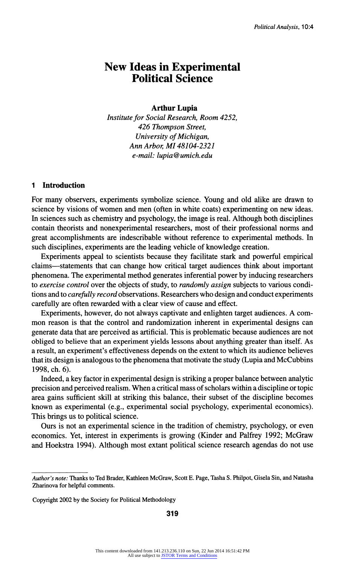## New Ideas in Experimental Political Science

## Arthur Lupia

Institute for Social Research, Room 4252, 426 Thompson Street,<br>University of Michigan, University of *michigan* Ann Arbor, MI 48104-2321 e-mail: lupia@umich.edu

#### 1 Introduction

For many observers, experiments symbolize science. Young and old alike are drawn to science by visions of women and men (often in white coats) experimenting on new ideas. In sciences such as chemistry and psychology, the image is real. Although both disciplines contain theorists and nonexperimental researchers, most of their professional norms and great accomplishments are indescribable without reference to experimental methods. In such disciplines, experiments are the leading vehicle of knowledge creation.

Experiments appeal to scientists because they facilitate stark and powerful empirical claims—statements that can change how critical target audiences think about important phenomena. The experimental method generates inferential power by inducing researchers to *exercise control* over the objects of study, to *randomly assign* subjects to various conditions and to *carefully record* observations. Researchers who design and conduct experiments carefully are often rewarded with a clear view of cause and effect.

Experiments, however, do not always captivate and enlighten target audiences. A com mon reason is that the control and randomization inherent in experimental designs can generate data that are perceived as artificial. This is problematic because audiences are not obliged to believe that an experiment yields lessons about anything greater than itself. As a result, an experiment's effectiveness depends on the extent to which its audience believes that its design is analogous to the phenomena that motivate the study (Lupia and McCubbins 1998, ch. 6).

Indeed, a key factor in experimental design is striking a proper balance between analytic precision and perceived realism. When a critical mass of scholars within a discipline or topic area gains sufficient skill at striking this balance, their subset of the discipline becomes known as experimental (e.g., experimental social psychology, experimental economics). This brings us to political science.

Ours is not an experimental science in the tradition of chemistry, psychology, or even economics. Yet, interest in experiments is growing (Kinder and Palfrey 1992; McGraw and Hoekstra 1994). Although most extant political science research agendas do not use

319

Author's note: Thanks to Ted Brader, Kathleen McGraw, Scott E. Page, Tasha S. Philpot, Gisela Sin, and Natasha Zharinova for helpful comments.

Copyright 2002 by the Society for Political Methodology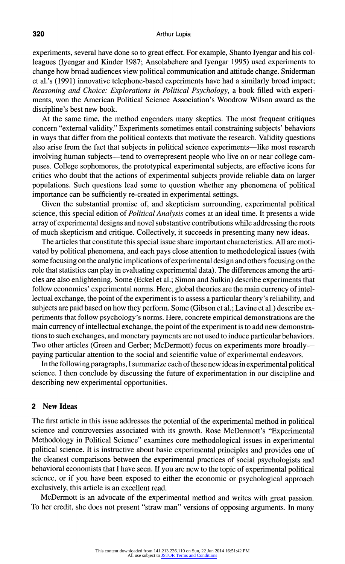experiments, several have done so to great effect. For example, Shanto Iyengar and his col leagues (Iyengar and Kinder 1987; Ansolabehere and Iyengar 1995) used experiments to change how broad audiences view political communication and attitude change. Sniderman et al.'s (1991) innovative telephone-based experiments have had a similarly broad impact; Reasoning and Choice: Explorations in Political Psychology, a book filled with experi ments, won the American Political Science Association's Woodrow Wilson award as the discipline's best new book.

At the same time, the method engenders many skeptics. The most frequent critiques concern "external validity." Experiments sometimes entail constraining subjects' behaviors in ways that differ from the political contexts that motivate the research. Validity questions also arise from the fact that subjects in political science experiments—like most research involving human subjects—tend to overrepresent people who live on or near college campuses. College sophomores, the prototypical experimental subjects, are effective icons for critics who doubt that the actions of experimental subjects provide reliable data on larger populations. Such questions lead some to question whether any phenomena of political importance can be sufficiently re-created in experimental settings.

Given the substantial promise of, and skepticism surrounding, experimental political science, this special edition of *Political Analysis* comes at an ideal time. It presents a wide array of experimental designs and novel substantive contributions while addressing the roots of much skepticism and critique. Collectively, it succeeds in presenting many new ideas.

The articles that constitute this special issue share important characteristics. All are moti vated by political phenomena, and each pays close attention to methodological issues (with some focusing on the analytic implications of experimental design and others focusing on the role that statistics can play in evaluating experimental data). The differences among the arti cles are also enlightening. Some (Eckel et al.; Simon and Sulkin) describe experiments that follow economies' experimental norms. Here, global theories are the main currency of intel lectual exchange, the point of the experiment is to assess a particular theory's reliability, and subjects are paid based on how they perform. Some (Gibson et al.; Lavine et al.) describe ex periments that follow psychology's norms. Here, concrete empirical demonstrations are the main currency of intellectual exchange, the point of the experiment is to add new demonstra tions to such exchanges, and monetary payments are not used to induce particular behaviors. Two other articles (Green and Gerber; McDermott) focus on experiments more broadly? paying particular attention to the social and scientific value of experimental endeavors.

In the following paragraphs, I summarize each of these new ideas in experimental political science. I then conclude by discussing the future of experimentation in our discipline and describing new experimental opportunities.

### 2 New Ideas

The first article in this issue addresses the potential of the experimental method in political science and controversies associated with its growth. Rose McDermott's "Experimental Methodology in Political Science" examines core methodological issues in experimental political science. It is instructive about basic experimental principles and provides one of the cleanest comparisons between the experimental practices of social psychologists and behavioral economists that I have seen. If you are new to the topic of experimental political science, or if you have been exposed to either the economic or psychological approach exclusively, this article is an excellent read.

McDermott is an advocate of the experimental method and writes with great passion. To her credit, she does not present "straw man" versions of opposing arguments. In many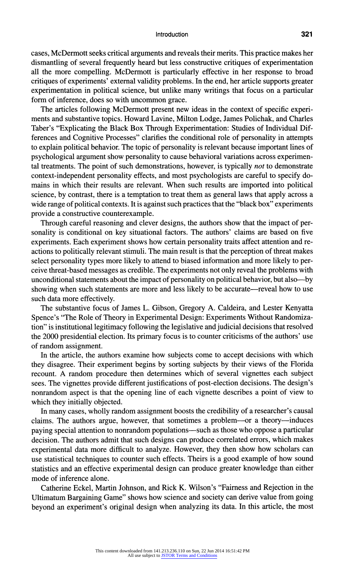#### Introduction 321

cases, McDermott seeks critical arguments and reveals their merits. This practice makes her dismantling of several frequently heard but less constructive critiques of experimentation all the more compelling. McDermott is particularly effective in her response to broad critiques of experiments' external validity problems. In the end, her article supports greater experimentation in political science, but unlike many writings that focus on a particular form of inference, does so with uncommon grace.

The articles following McDermott present new ideas in the context of specific experi ments and substantive topics. Howard Lavine, Milton Lodge, James Polichak, and Charles Taber's "Explicating the Black Box Through Experimentation: Studies of Individual Dif ferences and Cognitive Processes" clarifies the conditional role of personality in attempts to explain political behavior. The topic of personality is relevant because important lines of psychological argument show personality to cause behavioral variations across experimen tal treatments. The point of such demonstrations, however, is typically *not* to demonstrate context-independent personality effects, and most psychologists are careful to specify do mains in which their results are relevant. When such results are imported into political science, by contrast, there is a temptation to treat them as general laws that apply across a wide range of political contexts. It is against such practices that the "black box" experiments provide a constructive counterexample.

Through careful reasoning and clever designs, the authors show that the impact of per sonality is conditional on key situational factors. The authors' claims are based on five experiments. Each experiment shows how certain personality traits affect attention and re actions to politically relevant stimuli. The main result is that the perception of threat makes select personality types more likely to attend to biased information and more likely to per ceive threat-based messages as credible. The experiments not only reveal the problems with unconditional statements about the impact of personality on political behavior, but also-by showing when such statements are more and less likely to be accurate—reveal how to use such data more effectively.

The substantive focus of James L. Gibson, Gregory A. Caldeira, and Lester Kenyatta Spence's "The Role of Theory in Experimental Design: Experiments Without Randomiza tion" is institutional legitimacy following the legislative and judicial decisions that resolved the 2000 presidential election. Its primary focus is to counter criticisms of the authors' use of random assignment.

In the article, the authors examine how subjects come to accept decisions with which they disagree. Their experiment begins by sorting subjects by their views of the Florida recount. A random procedure then determines which of several vignettes each subject sees. The vignettes provide different justifications of post-election decisions. The design's nonrandom aspect is that the opening line of each vignette describes a point of view to which they initially objected.

In many cases, wholly random assignment boosts the credibility of a researcher's causal claims. The authors argue, however, that sometimes a problem—or a theory—induces paying special attention to nonrandom populations—such as those who oppose a particular decision. The authors admit that such designs can produce correlated errors, which makes experimental data more difficult to analyze. However, they then show how scholars can use statistical techniques to counter such effects. Theirs is a good example of how sound statistics and an effective experimental design can produce greater knowledge than either mode of inference alone.

Catherine Eckel, Martin Johnson, and Rick K. Wilson's "Fairness and Rejection in the Ultimatum Bargaining Game" shows how science and society can derive value from going beyond an experiment's original design when analyzing its data. In this article, the most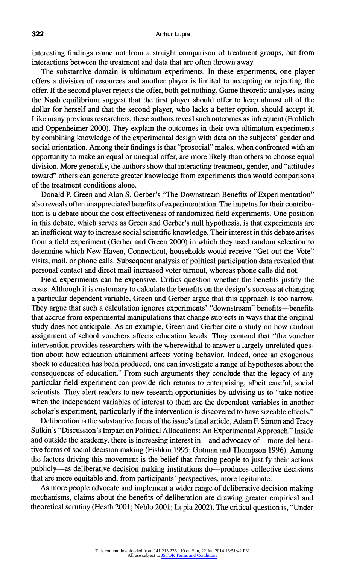interesting findings come not from a straight comparison of treatment groups, but from interactions between the treatment and data that are often thrown away.

The substantive domain is ultimatum experiments. In these experiments, one player offers a division of resources and another player is limited to accepting or rejecting the offer. If the second player rejects the offer, both get nothing. Game theoretic analyses using the Nash equilibrium suggest that the first player should offer to keep almost all of the dollar for herself and that the second player, who lacks a better option, should accept it. Like many previous researchers, these authors reveal such outcomes as infrequent (Frohlich and Oppenheimer 2000). They explain the outcomes in their own ultimatum experiments by combining knowledge of the experimental design with data on the subjects' gender and social orientation. Among their findings is that "prosocial" males, when confronted with an opportunity to make an equal or unequal offer, are more likely than others to choose equal division. More generally, the authors show that interacting treatment, gender, and "attitudes toward" others can generate greater knowledge from experiments than would comparisons of the treatment conditions alone.

Donald P. Green and Alan S. Gerber's "The Downstream Benefits of Experimentation" also reveals often unappreciated benefits of experimentation. The impetus for their contribu tion is a debate about the cost effectiveness of randomized field experiments. One position in this debate, which serves as Green and Gerber's null hypothesis, is that experiments are an inefficient way to increase social scientific knowledge. Their interest in this debate arises from a field experiment (Gerber and Green 2000) in which they used random selection to determine which New Haven, Connecticut, households would receive "Get-out-the-Vote" visits, mail, or phone calls. Subsequent analysis of political participation data revealed that personal contact and direct mail increased voter turnout, whereas phone calls did not.

Field experiments can be expensive. Critics question whether the benefits justify the costs. Although it is customary to calculate the benefits on the design's success at changing a particular dependent variable, Green and Gerber argue that this approach is too narrow. They argue that such a calculation ignores experiments' "downstream" benefits—benefits that accrue from experimental manipulations that change subjects in ways that the original study does not anticipate. As an example, Green and Gerber cite a study on how random assignment of school vouchers affects education levels. They contend that "the voucher intervention provides researchers with the wherewithal to answer a largely unrelated ques tion about how education attainment affects voting behavior. Indeed, once an exogenous shock to education has been produced, one can investigate a range of hypotheses about the consequences of education." From such arguments they conclude that the legacy of any particular field experiment can provide rich returns to enterprising, albeit careful, social scientists. They alert readers to new research opportunities by advising us to "take notice when the independent variables of interest to them are the dependent variables in another scholar's experiment, particularly if the intervention is discovered to have sizeable effects."

Deliberation is the substantive focus of the issue's final article, Adam F. Simon and Tracy Sulkin's "Discussion's Impact on Political Allocations: An Experimental Approach." Inside and outside the academy, there is increasing interest in—and advocacy of—more deliberative forms of social decision making (Fishkin 1995; Gutman and Thompson 1996). Among the factors driving this movement is the belief that forcing people to justify their actions publicly—as deliberative decision making institutions do—produces collective decisions that are more equitable and, from participants' perspectives, more legitimate.

As more people advocate and implement a wider range of deliberative decision making mechanisms, claims about the benefits of deliberation are drawing greater empirical and theoretical scrutiny (Heath 2001; Neblo 2001; Lupia 2002). The critical question is, "Under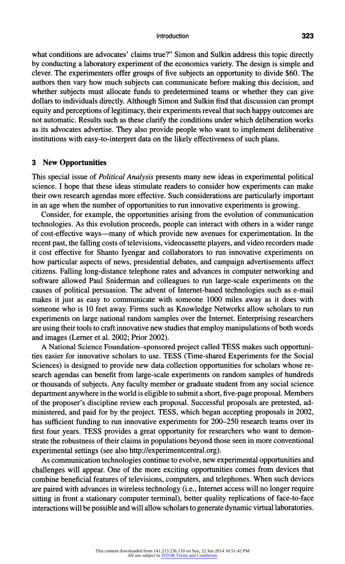#### Introduction 323

what conditions are advocates' claims true?" Simon and Sulkin address this topic directly by conducting a laboratory experiment of the economics variety. The design is simple and clever. The experimenters offer groups of five subjects an opportunity to divide \$60. The authors then vary how much subjects can communicate before making this decision, and whether subjects must allocate funds to predetermined teams or whether they can give dollars to individuals directly. Although Simon and Sulkin find that discussion can prompt equity and perceptions of legitimacy, their experiments reveal that such happy outcomes are not automatic. Results such as these clarify the conditions under which deliberation works as its advocates advertise. They also provide people who want to implement deliberative institutions with easy-to-interpret data on the likely effectiveness of such plans.

## 3 New Opportunities

This special issue of Political Analysis presents many new ideas in experimental political science. I hope that these ideas stimulate readers to consider how experiments can make their own research agendas more effective. Such considerations are particularly important in an age when the number of opportunities to run innovative experiments is growing.

Consider, for example, the opportunities arising from the evolution of communication technologies. As this evolution proceeds, people can interact with others in a wider range of cost-effective ways—many of which provide new avenues for experimentation. In the recent past, the falling costs of televisions, videocassette players, and video recorders made it cost effective for Shanto Iyengar and collaborators to run innovative experiments on how particular aspects of news, presidential debates, and campaign advertisements affect citizens. Falling long-distance telephone rates and advances in computer networking and software allowed Paul Sniderman and colleagues to run large-scale experiments on the causes of political persuasion. The advent of Internet-based technologies such as e-mail makes it just as easy to communicate with someone 1000 miles away as it does with someone who is 10 feet away. Firms such as Knowledge Networks allow scholars to run experiments on large national random samples over the Internet. Enterprising researchers are using their tools to craft innovative new studies that employ manipulations of both words and images (Lerner et al. 2002; Prior 2002).

A National Science Foundation-sponsored project called TESS makes such opportuni ties easier for innovative scholars to use. TESS (Time-shared Experiments for the Social Sciences) is designed to provide new data collection opportunities for scholars whose re search agendas can benefit from large-scale experiments on random samples of hundreds or thousands of subjects. Any faculty member or graduate student from any social science department anywhere in the world is eligible to submit a short, five-page proposal. Members of the proposer's discipline review each proposal. Successful proposals are pretested, ad ministered, and paid for by the project. TESS, which began accepting proposals in 2002, has sufficient funding to run innovative experiments for 200–250 research teams over its first four years. TESS provides a great opportunity for researchers who want to demon strate the robustness of their claims in populations beyond those seen in more conventional experimental settings (see also http://experimentcentral.org).

As communication technologies continue to evolve, new experimental opportunities and challenges will appear. One of the more exciting opportunities comes from devices that combine beneficial features of televisions, computers, and telephones. When such devices are paired with advances in wireless technology (i.e., Internet access will no longer require sitting in front a stationary computer terminal), better quality replications of face-to-face interactions will be possible and will allow scholars to generate dynamic virtual laboratories.